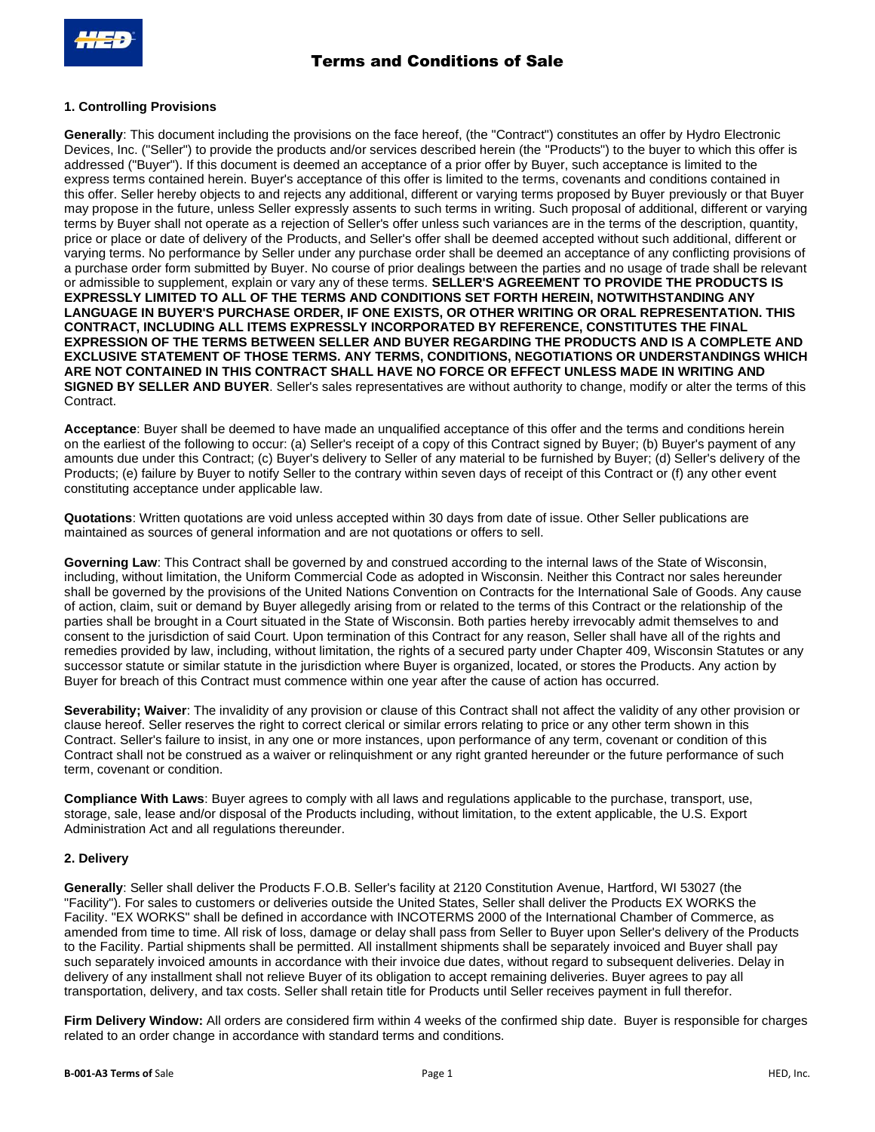## **1. Controlling Provisions**

**Generally**: This document including the provisions on the face hereof, (the "Contract") constitutes an offer by Hydro Electronic Devices, Inc. ("Seller") to provide the products and/or services described herein (the "Products") to the buyer to which this offer is addressed ("Buyer"). If this document is deemed an acceptance of a prior offer by Buyer, such acceptance is limited to the express terms contained herein. Buyer's acceptance of this offer is limited to the terms, covenants and conditions contained in this offer. Seller hereby objects to and rejects any additional, different or varying terms proposed by Buyer previously or that Buyer may propose in the future, unless Seller expressly assents to such terms in writing. Such proposal of additional, different or varying terms by Buyer shall not operate as a rejection of Seller's offer unless such variances are in the terms of the description, quantity, price or place or date of delivery of the Products, and Seller's offer shall be deemed accepted without such additional, different or varying terms. No performance by Seller under any purchase order shall be deemed an acceptance of any conflicting provisions of a purchase order form submitted by Buyer. No course of prior dealings between the parties and no usage of trade shall be relevant or admissible to supplement, explain or vary any of these terms. **SELLER'S AGREEMENT TO PROVIDE THE PRODUCTS IS EXPRESSLY LIMITED TO ALL OF THE TERMS AND CONDITIONS SET FORTH HEREIN, NOTWITHSTANDING ANY LANGUAGE IN BUYER'S PURCHASE ORDER, IF ONE EXISTS, OR OTHER WRITING OR ORAL REPRESENTATION. THIS CONTRACT, INCLUDING ALL ITEMS EXPRESSLY INCORPORATED BY REFERENCE, CONSTITUTES THE FINAL EXPRESSION OF THE TERMS BETWEEN SELLER AND BUYER REGARDING THE PRODUCTS AND IS A COMPLETE AND EXCLUSIVE STATEMENT OF THOSE TERMS. ANY TERMS, CONDITIONS, NEGOTIATIONS OR UNDERSTANDINGS WHICH ARE NOT CONTAINED IN THIS CONTRACT SHALL HAVE NO FORCE OR EFFECT UNLESS MADE IN WRITING AND SIGNED BY SELLER AND BUYER**. Seller's sales representatives are without authority to change, modify or alter the terms of this Contract.

**Acceptance**: Buyer shall be deemed to have made an unqualified acceptance of this offer and the terms and conditions herein on the earliest of the following to occur: (a) Seller's receipt of a copy of this Contract signed by Buyer; (b) Buyer's payment of any amounts due under this Contract; (c) Buyer's delivery to Seller of any material to be furnished by Buyer; (d) Seller's delivery of the Products; (e) failure by Buyer to notify Seller to the contrary within seven days of receipt of this Contract or (f) any other event constituting acceptance under applicable law.

**Quotations**: Written quotations are void unless accepted within 30 days from date of issue. Other Seller publications are maintained as sources of general information and are not quotations or offers to sell.

**Governing Law**: This Contract shall be governed by and construed according to the internal laws of the State of Wisconsin, including, without limitation, the Uniform Commercial Code as adopted in Wisconsin. Neither this Contract nor sales hereunder shall be governed by the provisions of the United Nations Convention on Contracts for the International Sale of Goods. Any cause of action, claim, suit or demand by Buyer allegedly arising from or related to the terms of this Contract or the relationship of the parties shall be brought in a Court situated in the State of Wisconsin. Both parties hereby irrevocably admit themselves to and consent to the jurisdiction of said Court. Upon termination of this Contract for any reason, Seller shall have all of the rights and remedies provided by law, including, without limitation, the rights of a secured party under Chapter 409, Wisconsin Statutes or any successor statute or similar statute in the jurisdiction where Buyer is organized, located, or stores the Products. Any action by Buyer for breach of this Contract must commence within one year after the cause of action has occurred.

**Severability; Waiver**: The invalidity of any provision or clause of this Contract shall not affect the validity of any other provision or clause hereof. Seller reserves the right to correct clerical or similar errors relating to price or any other term shown in this Contract. Seller's failure to insist, in any one or more instances, upon performance of any term, covenant or condition of this Contract shall not be construed as a waiver or relinquishment or any right granted hereunder or the future performance of such term, covenant or condition.

**Compliance With Laws**: Buyer agrees to comply with all laws and regulations applicable to the purchase, transport, use, storage, sale, lease and/or disposal of the Products including, without limitation, to the extent applicable, the U.S. Export Administration Act and all regulations thereunder.

## **2. Delivery**

**Generally**: Seller shall deliver the Products F.O.B. Seller's facility at 2120 Constitution Avenue, Hartford, WI 53027 (the "Facility"). For sales to customers or deliveries outside the United States, Seller shall deliver the Products EX WORKS the Facility. "EX WORKS" shall be defined in accordance with INCOTERMS 2000 of the International Chamber of Commerce, as amended from time to time. All risk of loss, damage or delay shall pass from Seller to Buyer upon Seller's delivery of the Products to the Facility. Partial shipments shall be permitted. All installment shipments shall be separately invoiced and Buyer shall pay such separately invoiced amounts in accordance with their invoice due dates, without regard to subsequent deliveries. Delay in delivery of any installment shall not relieve Buyer of its obligation to accept remaining deliveries. Buyer agrees to pay all transportation, delivery, and tax costs. Seller shall retain title for Products until Seller receives payment in full therefor.

**Firm Delivery Window:** All orders are considered firm within 4 weeks of the confirmed ship date. Buyer is responsible for charges related to an order change in accordance with standard terms and conditions.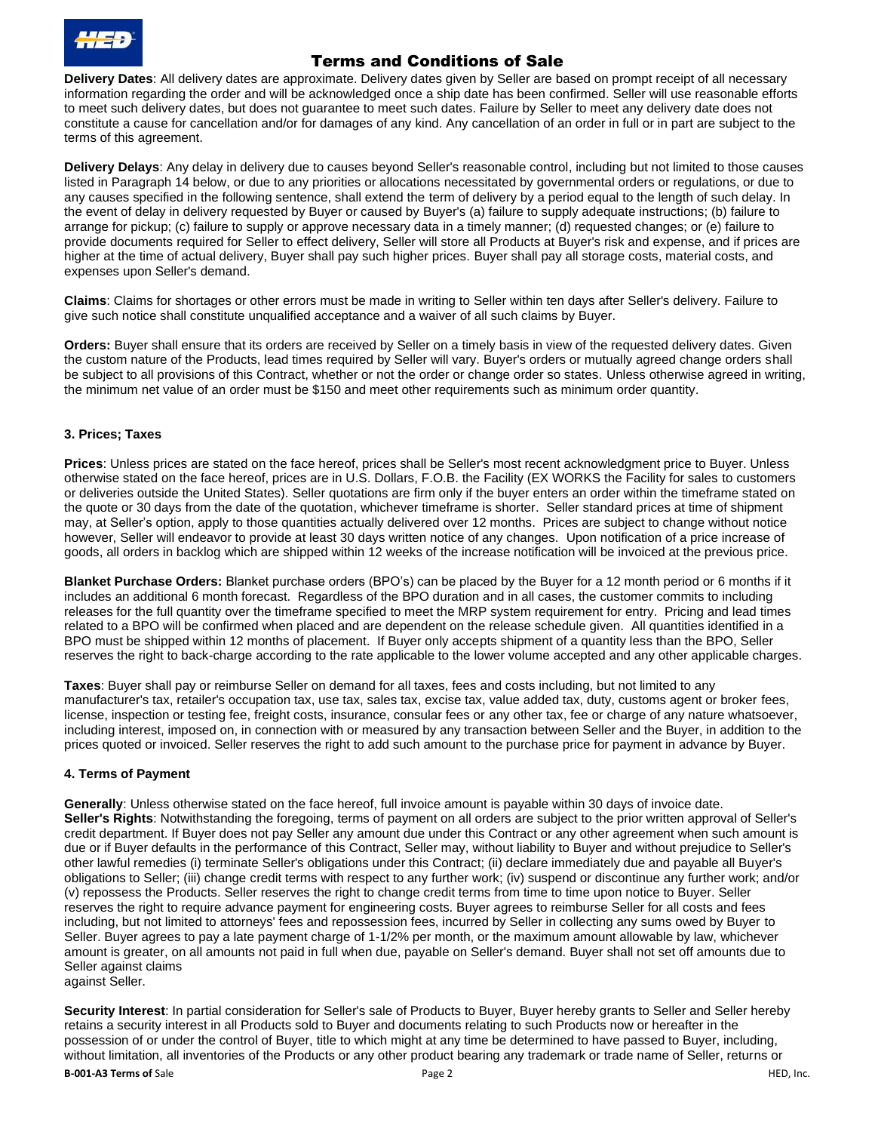

**Delivery Dates**: All delivery dates are approximate. Delivery dates given by Seller are based on prompt receipt of all necessary information regarding the order and will be acknowledged once a ship date has been confirmed. Seller will use reasonable efforts to meet such delivery dates, but does not guarantee to meet such dates. Failure by Seller to meet any delivery date does not constitute a cause for cancellation and/or for damages of any kind. Any cancellation of an order in full or in part are subject to the terms of this agreement.

**Delivery Delays**: Any delay in delivery due to causes beyond Seller's reasonable control, including but not limited to those causes listed in Paragraph 14 below, or due to any priorities or allocations necessitated by governmental orders or regulations, or due to any causes specified in the following sentence, shall extend the term of delivery by a period equal to the length of such delay. In the event of delay in delivery requested by Buyer or caused by Buyer's (a) failure to supply adequate instructions; (b) failure to arrange for pickup; (c) failure to supply or approve necessary data in a timely manner; (d) requested changes; or (e) failure to provide documents required for Seller to effect delivery, Seller will store all Products at Buyer's risk and expense, and if prices are higher at the time of actual delivery, Buyer shall pay such higher prices. Buyer shall pay all storage costs, material costs, and expenses upon Seller's demand.

**Claims**: Claims for shortages or other errors must be made in writing to Seller within ten days after Seller's delivery. Failure to give such notice shall constitute unqualified acceptance and a waiver of all such claims by Buyer.

**Orders:** Buyer shall ensure that its orders are received by Seller on a timely basis in view of the requested delivery dates. Given the custom nature of the Products, lead times required by Seller will vary. Buyer's orders or mutually agreed change orders shall be subject to all provisions of this Contract, whether or not the order or change order so states. Unless otherwise agreed in writing, the minimum net value of an order must be \$150 and meet other requirements such as minimum order quantity.

## **3. Prices; Taxes**

**Prices**: Unless prices are stated on the face hereof, prices shall be Seller's most recent acknowledgment price to Buyer. Unless otherwise stated on the face hereof, prices are in U.S. Dollars, F.O.B. the Facility (EX WORKS the Facility for sales to customers or deliveries outside the United States). Seller quotations are firm only if the buyer enters an order within the timeframe stated on the quote or 30 days from the date of the quotation, whichever timeframe is shorter. Seller standard prices at time of shipment may, at Seller's option, apply to those quantities actually delivered over 12 months. Prices are subject to change without notice however, Seller will endeavor to provide at least 30 days written notice of any changes. Upon notification of a price increase of goods, all orders in backlog which are shipped within 12 weeks of the increase notification will be invoiced at the previous price.

**Blanket Purchase Orders:** Blanket purchase orders (BPO's) can be placed by the Buyer for a 12 month period or 6 months if it includes an additional 6 month forecast. Regardless of the BPO duration and in all cases, the customer commits to including releases for the full quantity over the timeframe specified to meet the MRP system requirement for entry. Pricing and lead times related to a BPO will be confirmed when placed and are dependent on the release schedule given. All quantities identified in a BPO must be shipped within 12 months of placement. If Buyer only accepts shipment of a quantity less than the BPO, Seller reserves the right to back-charge according to the rate applicable to the lower volume accepted and any other applicable charges.

**Taxes**: Buyer shall pay or reimburse Seller on demand for all taxes, fees and costs including, but not limited to any manufacturer's tax, retailer's occupation tax, use tax, sales tax, excise tax, value added tax, duty, customs agent or broker fees, license, inspection or testing fee, freight costs, insurance, consular fees or any other tax, fee or charge of any nature whatsoever, including interest, imposed on, in connection with or measured by any transaction between Seller and the Buyer, in addition to the prices quoted or invoiced. Seller reserves the right to add such amount to the purchase price for payment in advance by Buyer.

## **4. Terms of Payment**

**Generally**: Unless otherwise stated on the face hereof, full invoice amount is payable within 30 days of invoice date. **Seller's Rights**: Notwithstanding the foregoing, terms of payment on all orders are subject to the prior written approval of Seller's credit department. If Buyer does not pay Seller any amount due under this Contract or any other agreement when such amount is due or if Buyer defaults in the performance of this Contract, Seller may, without liability to Buyer and without prejudice to Seller's other lawful remedies (i) terminate Seller's obligations under this Contract; (ii) declare immediately due and payable all Buyer's obligations to Seller; (iii) change credit terms with respect to any further work; (iv) suspend or discontinue any further work; and/or (v) repossess the Products. Seller reserves the right to change credit terms from time to time upon notice to Buyer. Seller reserves the right to require advance payment for engineering costs. Buyer agrees to reimburse Seller for all costs and fees including, but not limited to attorneys' fees and repossession fees, incurred by Seller in collecting any sums owed by Buyer to Seller. Buyer agrees to pay a late payment charge of 1-1/2% per month, or the maximum amount allowable by law, whichever amount is greater, on all amounts not paid in full when due, payable on Seller's demand. Buyer shall not set off amounts due to Seller against claims against Seller.

**Security Interest**: In partial consideration for Seller's sale of Products to Buyer, Buyer hereby grants to Seller and Seller hereby retains a security interest in all Products sold to Buyer and documents relating to such Products now or hereafter in the possession of or under the control of Buyer, title to which might at any time be determined to have passed to Buyer, including, without limitation, all inventories of the Products or any other product bearing any trademark or trade name of Seller, returns or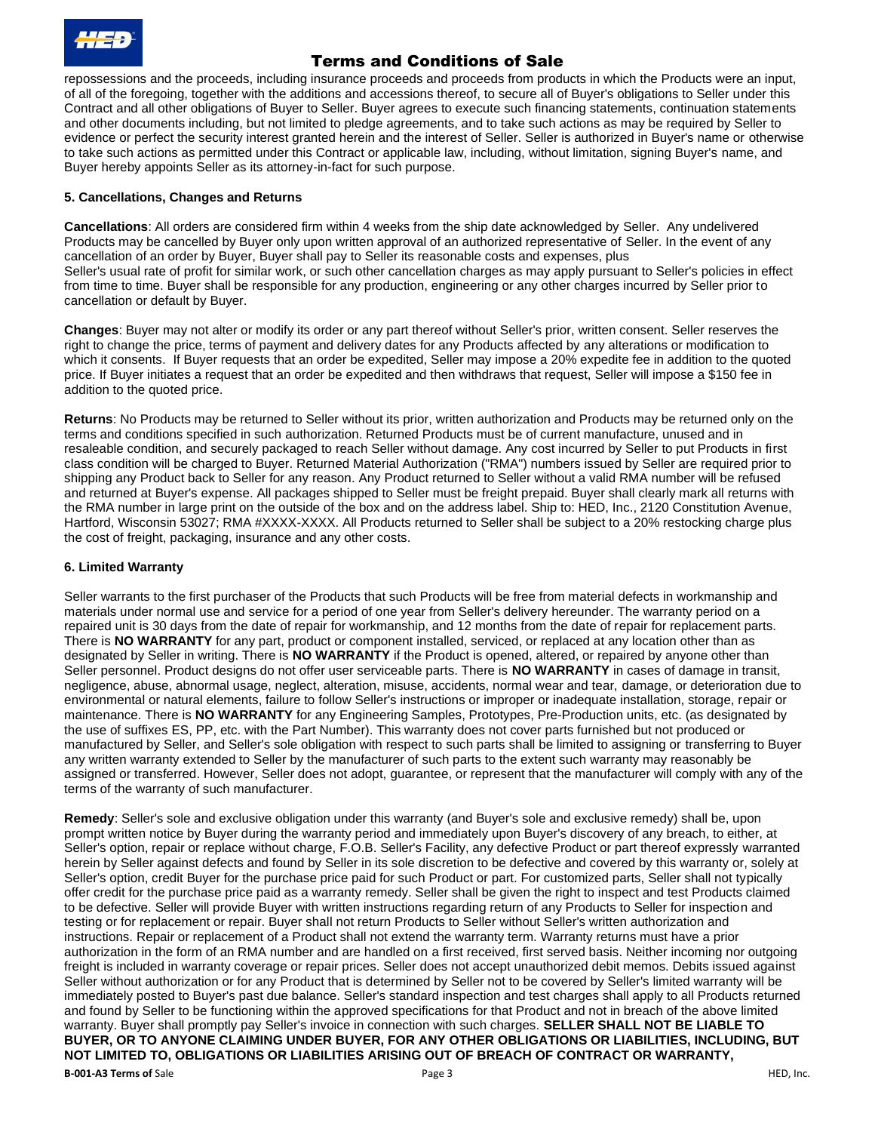

repossessions and the proceeds, including insurance proceeds and proceeds from products in which the Products were an input, of all of the foregoing, together with the additions and accessions thereof, to secure all of Buyer's obligations to Seller under this Contract and all other obligations of Buyer to Seller. Buyer agrees to execute such financing statements, continuation statements and other documents including, but not limited to pledge agreements, and to take such actions as may be required by Seller to evidence or perfect the security interest granted herein and the interest of Seller. Seller is authorized in Buyer's name or otherwise to take such actions as permitted under this Contract or applicable law, including, without limitation, signing Buyer's name, and Buyer hereby appoints Seller as its attorney-in-fact for such purpose.

#### **5. Cancellations, Changes and Returns**

**Cancellations**: All orders are considered firm within 4 weeks from the ship date acknowledged by Seller. Any undelivered Products may be cancelled by Buyer only upon written approval of an authorized representative of Seller. In the event of any cancellation of an order by Buyer, Buyer shall pay to Seller its reasonable costs and expenses, plus Seller's usual rate of profit for similar work, or such other cancellation charges as may apply pursuant to Seller's policies in effect from time to time. Buyer shall be responsible for any production, engineering or any other charges incurred by Seller prior to cancellation or default by Buyer.

**Changes**: Buyer may not alter or modify its order or any part thereof without Seller's prior, written consent. Seller reserves the right to change the price, terms of payment and delivery dates for any Products affected by any alterations or modification to which it consents. If Buyer requests that an order be expedited, Seller may impose a 20% expedite fee in addition to the quoted price. If Buyer initiates a request that an order be expedited and then withdraws that request, Seller will impose a \$150 fee in addition to the quoted price.

**Returns**: No Products may be returned to Seller without its prior, written authorization and Products may be returned only on the terms and conditions specified in such authorization. Returned Products must be of current manufacture, unused and in resaleable condition, and securely packaged to reach Seller without damage. Any cost incurred by Seller to put Products in first class condition will be charged to Buyer. Returned Material Authorization ("RMA") numbers issued by Seller are required prior to shipping any Product back to Seller for any reason. Any Product returned to Seller without a valid RMA number will be refused and returned at Buyer's expense. All packages shipped to Seller must be freight prepaid. Buyer shall clearly mark all returns with the RMA number in large print on the outside of the box and on the address label. Ship to: HED, Inc., 2120 Constitution Avenue, Hartford, Wisconsin 53027; RMA #XXXX-XXXX. All Products returned to Seller shall be subject to a 20% restocking charge plus the cost of freight, packaging, insurance and any other costs.

#### **6. Limited Warranty**

Seller warrants to the first purchaser of the Products that such Products will be free from material defects in workmanship and materials under normal use and service for a period of one year from Seller's delivery hereunder. The warranty period on a repaired unit is 30 days from the date of repair for workmanship, and 12 months from the date of repair for replacement parts. There is **NO WARRANTY** for any part, product or component installed, serviced, or replaced at any location other than as designated by Seller in writing. There is **NO WARRANTY** if the Product is opened, altered, or repaired by anyone other than Seller personnel. Product designs do not offer user serviceable parts. There is **NO WARRANTY** in cases of damage in transit, negligence, abuse, abnormal usage, neglect, alteration, misuse, accidents, normal wear and tear, damage, or deterioration due to environmental or natural elements, failure to follow Seller's instructions or improper or inadequate installation, storage, repair or maintenance. There is **NO WARRANTY** for any Engineering Samples, Prototypes, Pre-Production units, etc. (as designated by the use of suffixes ES, PP, etc. with the Part Number). This warranty does not cover parts furnished but not produced or manufactured by Seller, and Seller's sole obligation with respect to such parts shall be limited to assigning or transferring to Buyer any written warranty extended to Seller by the manufacturer of such parts to the extent such warranty may reasonably be assigned or transferred. However, Seller does not adopt, guarantee, or represent that the manufacturer will comply with any of the terms of the warranty of such manufacturer.

**Remedy**: Seller's sole and exclusive obligation under this warranty (and Buyer's sole and exclusive remedy) shall be, upon prompt written notice by Buyer during the warranty period and immediately upon Buyer's discovery of any breach, to either, at Seller's option, repair or replace without charge, F.O.B. Seller's Facility, any defective Product or part thereof expressly warranted herein by Seller against defects and found by Seller in its sole discretion to be defective and covered by this warranty or, solely at Seller's option, credit Buyer for the purchase price paid for such Product or part. For customized parts, Seller shall not typically offer credit for the purchase price paid as a warranty remedy. Seller shall be given the right to inspect and test Products claimed to be defective. Seller will provide Buyer with written instructions regarding return of any Products to Seller for inspection and testing or for replacement or repair. Buyer shall not return Products to Seller without Seller's written authorization and instructions. Repair or replacement of a Product shall not extend the warranty term. Warranty returns must have a prior authorization in the form of an RMA number and are handled on a first received, first served basis. Neither incoming nor outgoing freight is included in warranty coverage or repair prices. Seller does not accept unauthorized debit memos. Debits issued against Seller without authorization or for any Product that is determined by Seller not to be covered by Seller's limited warranty will be immediately posted to Buyer's past due balance. Seller's standard inspection and test charges shall apply to all Products returned and found by Seller to be functioning within the approved specifications for that Product and not in breach of the above limited warranty. Buyer shall promptly pay Seller's invoice in connection with such charges. **SELLER SHALL NOT BE LIABLE TO BUYER, OR TO ANYONE CLAIMING UNDER BUYER, FOR ANY OTHER OBLIGATIONS OR LIABILITIES, INCLUDING, BUT NOT LIMITED TO, OBLIGATIONS OR LIABILITIES ARISING OUT OF BREACH OF CONTRACT OR WARRANTY,**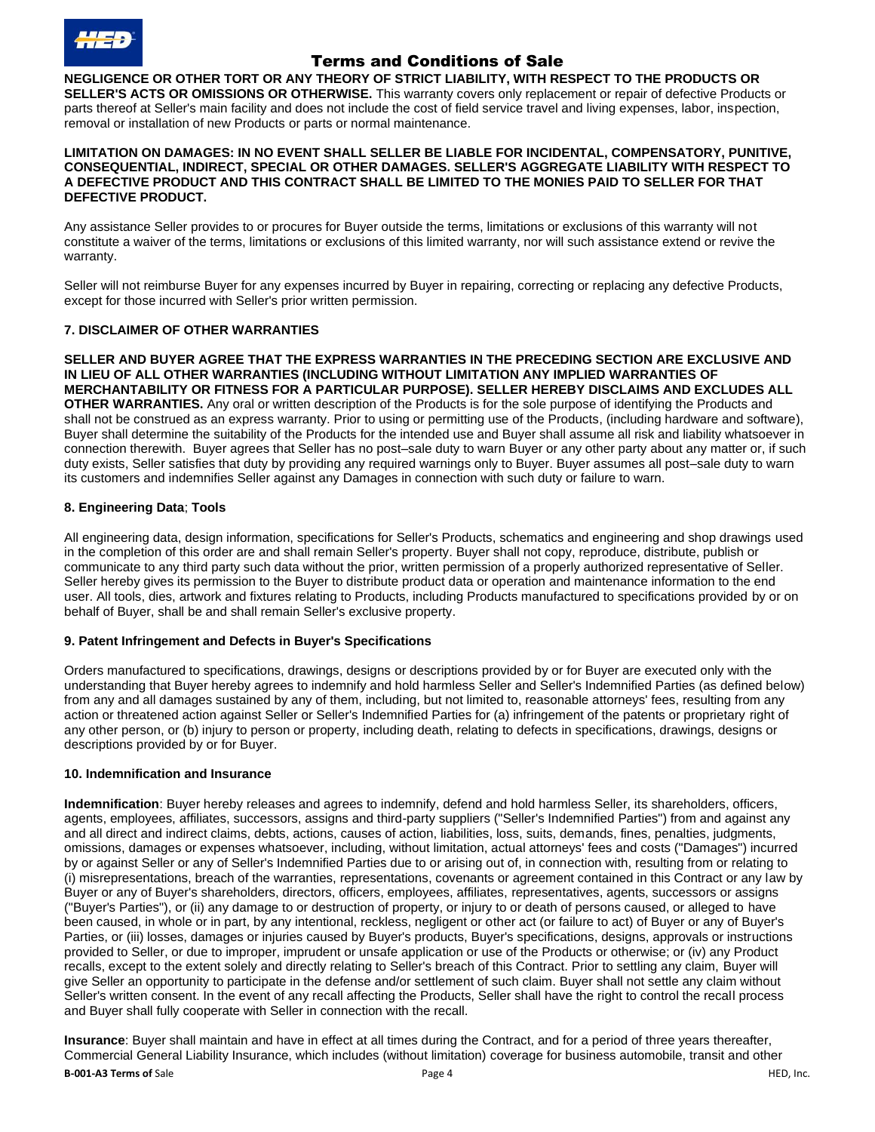

**NEGLIGENCE OR OTHER TORT OR ANY THEORY OF STRICT LIABILITY, WITH RESPECT TO THE PRODUCTS OR SELLER'S ACTS OR OMISSIONS OR OTHERWISE.** This warranty covers only replacement or repair of defective Products or parts thereof at Seller's main facility and does not include the cost of field service travel and living expenses, labor, inspection, removal or installation of new Products or parts or normal maintenance.

#### **LIMITATION ON DAMAGES: IN NO EVENT SHALL SELLER BE LIABLE FOR INCIDENTAL, COMPENSATORY, PUNITIVE, CONSEQUENTIAL, INDIRECT, SPECIAL OR OTHER DAMAGES. SELLER'S AGGREGATE LIABILITY WITH RESPECT TO A DEFECTIVE PRODUCT AND THIS CONTRACT SHALL BE LIMITED TO THE MONIES PAID TO SELLER FOR THAT DEFECTIVE PRODUCT.**

Any assistance Seller provides to or procures for Buyer outside the terms, limitations or exclusions of this warranty will not constitute a waiver of the terms, limitations or exclusions of this limited warranty, nor will such assistance extend or revive the warranty.

Seller will not reimburse Buyer for any expenses incurred by Buyer in repairing, correcting or replacing any defective Products, except for those incurred with Seller's prior written permission.

## **7. DISCLAIMER OF OTHER WARRANTIES**

**SELLER AND BUYER AGREE THAT THE EXPRESS WARRANTIES IN THE PRECEDING SECTION ARE EXCLUSIVE AND IN LIEU OF ALL OTHER WARRANTIES (INCLUDING WITHOUT LIMITATION ANY IMPLIED WARRANTIES OF MERCHANTABILITY OR FITNESS FOR A PARTICULAR PURPOSE). SELLER HEREBY DISCLAIMS AND EXCLUDES ALL OTHER WARRANTIES.** Any oral or written description of the Products is for the sole purpose of identifying the Products and shall not be construed as an express warranty. Prior to using or permitting use of the Products, (including hardware and software), Buyer shall determine the suitability of the Products for the intended use and Buyer shall assume all risk and liability whatsoever in connection therewith. Buyer agrees that Seller has no post–sale duty to warn Buyer or any other party about any matter or, if such duty exists, Seller satisfies that duty by providing any required warnings only to Buyer. Buyer assumes all post–sale duty to warn its customers and indemnifies Seller against any Damages in connection with such duty or failure to warn.

## **8. Engineering Data**; **Tools**

All engineering data, design information, specifications for Seller's Products, schematics and engineering and shop drawings used in the completion of this order are and shall remain Seller's property. Buyer shall not copy, reproduce, distribute, publish or communicate to any third party such data without the prior, written permission of a properly authorized representative of Seller. Seller hereby gives its permission to the Buyer to distribute product data or operation and maintenance information to the end user. All tools, dies, artwork and fixtures relating to Products, including Products manufactured to specifications provided by or on behalf of Buyer, shall be and shall remain Seller's exclusive property.

## **9. Patent Infringement and Defects in Buyer's Specifications**

Orders manufactured to specifications, drawings, designs or descriptions provided by or for Buyer are executed only with the understanding that Buyer hereby agrees to indemnify and hold harmless Seller and Seller's Indemnified Parties (as defined below) from any and all damages sustained by any of them, including, but not limited to, reasonable attorneys' fees, resulting from any action or threatened action against Seller or Seller's Indemnified Parties for (a) infringement of the patents or proprietary right of any other person, or (b) injury to person or property, including death, relating to defects in specifications, drawings, designs or descriptions provided by or for Buyer.

## **10. Indemnification and Insurance**

**Indemnification**: Buyer hereby releases and agrees to indemnify, defend and hold harmless Seller, its shareholders, officers, agents, employees, affiliates, successors, assigns and third-party suppliers ("Seller's Indemnified Parties") from and against any and all direct and indirect claims, debts, actions, causes of action, liabilities, loss, suits, demands, fines, penalties, judgments, omissions, damages or expenses whatsoever, including, without limitation, actual attorneys' fees and costs ("Damages") incurred by or against Seller or any of Seller's Indemnified Parties due to or arising out of, in connection with, resulting from or relating to (i) misrepresentations, breach of the warranties, representations, covenants or agreement contained in this Contract or any law by Buyer or any of Buyer's shareholders, directors, officers, employees, affiliates, representatives, agents, successors or assigns ("Buyer's Parties"), or (ii) any damage to or destruction of property, or injury to or death of persons caused, or alleged to have been caused, in whole or in part, by any intentional, reckless, negligent or other act (or failure to act) of Buyer or any of Buyer's Parties, or (iii) losses, damages or injuries caused by Buyer's products, Buyer's specifications, designs, approvals or instructions provided to Seller, or due to improper, imprudent or unsafe application or use of the Products or otherwise; or (iv) any Product recalls, except to the extent solely and directly relating to Seller's breach of this Contract. Prior to settling any claim, Buyer will give Seller an opportunity to participate in the defense and/or settlement of such claim. Buyer shall not settle any claim without Seller's written consent. In the event of any recall affecting the Products, Seller shall have the right to control the recall process and Buyer shall fully cooperate with Seller in connection with the recall.

**B-001-A3 Terms of** Sale **Page 1 B-001-A3 Terms of** Sale Page 4 **Page 4 Page 4 Page 4 Page 1 Page 4 Page 1 Page 4 Page 1 Page 4 Page 1 Page 4 Page 1 Page 4 Page 1 Page 4 Page 1 Page 1 Pa Insurance**: Buyer shall maintain and have in effect at all times during the Contract, and for a period of three years thereafter, Commercial General Liability Insurance, which includes (without limitation) coverage for business automobile, transit and other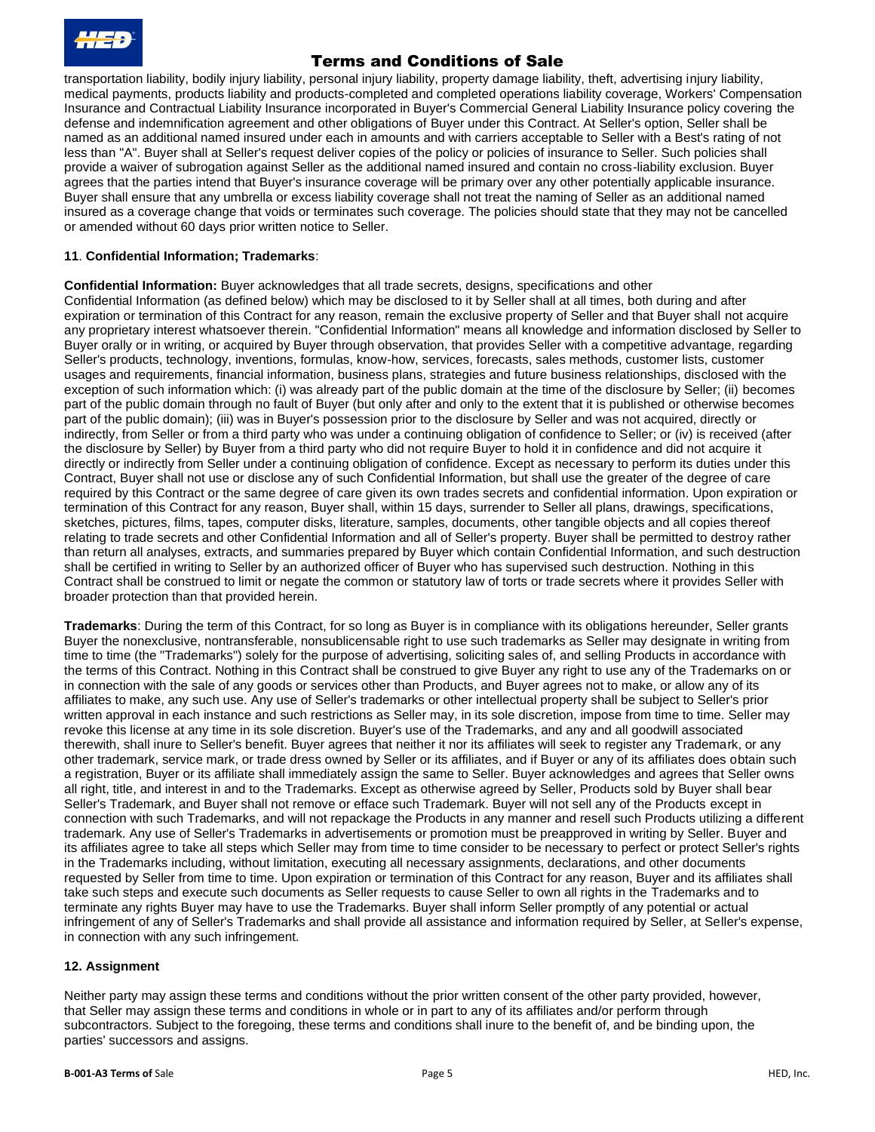transportation liability, bodily injury liability, personal injury liability, property damage liability, theft, advertising injury liability, medical payments, products liability and products-completed and completed operations liability coverage, Workers' Compensation Insurance and Contractual Liability Insurance incorporated in Buyer's Commercial General Liability Insurance policy covering the defense and indemnification agreement and other obligations of Buyer under this Contract. At Seller's option, Seller shall be named as an additional named insured under each in amounts and with carriers acceptable to Seller with a Best's rating of not less than "A". Buyer shall at Seller's request deliver copies of the policy or policies of insurance to Seller. Such policies shall provide a waiver of subrogation against Seller as the additional named insured and contain no cross-liability exclusion. Buyer agrees that the parties intend that Buyer's insurance coverage will be primary over any other potentially applicable insurance. Buyer shall ensure that any umbrella or excess liability coverage shall not treat the naming of Seller as an additional named insured as a coverage change that voids or terminates such coverage. The policies should state that they may not be cancelled or amended without 60 days prior written notice to Seller.

## **11**. **Confidential Information; Trademarks**:

**Confidential Information:** Buyer acknowledges that all trade secrets, designs, specifications and other Confidential Information (as defined below) which may be disclosed to it by Seller shall at all times, both during and after expiration or termination of this Contract for any reason, remain the exclusive property of Seller and that Buyer shall not acquire any proprietary interest whatsoever therein. "Confidential Information" means all knowledge and information disclosed by Seller to Buyer orally or in writing, or acquired by Buyer through observation, that provides Seller with a competitive advantage, regarding Seller's products, technology, inventions, formulas, know-how, services, forecasts, sales methods, customer lists, customer usages and requirements, financial information, business plans, strategies and future business relationships, disclosed with the exception of such information which: (i) was already part of the public domain at the time of the disclosure by Seller; (ii) becomes part of the public domain through no fault of Buyer (but only after and only to the extent that it is published or otherwise becomes part of the public domain); (iii) was in Buyer's possession prior to the disclosure by Seller and was not acquired, directly or indirectly, from Seller or from a third party who was under a continuing obligation of confidence to Seller; or (iv) is received (after the disclosure by Seller) by Buyer from a third party who did not require Buyer to hold it in confidence and did not acquire it directly or indirectly from Seller under a continuing obligation of confidence. Except as necessary to perform its duties under this Contract, Buyer shall not use or disclose any of such Confidential Information, but shall use the greater of the degree of care required by this Contract or the same degree of care given its own trades secrets and confidential information. Upon expiration or termination of this Contract for any reason, Buyer shall, within 15 days, surrender to Seller all plans, drawings, specifications, sketches, pictures, films, tapes, computer disks, literature, samples, documents, other tangible objects and all copies thereof relating to trade secrets and other Confidential Information and all of Seller's property. Buyer shall be permitted to destroy rather than return all analyses, extracts, and summaries prepared by Buyer which contain Confidential Information, and such destruction shall be certified in writing to Seller by an authorized officer of Buyer who has supervised such destruction. Nothing in this Contract shall be construed to limit or negate the common or statutory law of torts or trade secrets where it provides Seller with broader protection than that provided herein.

**Trademarks**: During the term of this Contract, for so long as Buyer is in compliance with its obligations hereunder, Seller grants Buyer the nonexclusive, nontransferable, nonsublicensable right to use such trademarks as Seller may designate in writing from time to time (the "Trademarks") solely for the purpose of advertising, soliciting sales of, and selling Products in accordance with the terms of this Contract. Nothing in this Contract shall be construed to give Buyer any right to use any of the Trademarks on or in connection with the sale of any goods or services other than Products, and Buyer agrees not to make, or allow any of its affiliates to make, any such use. Any use of Seller's trademarks or other intellectual property shall be subject to Seller's prior written approval in each instance and such restrictions as Seller may, in its sole discretion, impose from time to time. Seller may revoke this license at any time in its sole discretion. Buyer's use of the Trademarks, and any and all goodwill associated therewith, shall inure to Seller's benefit. Buyer agrees that neither it nor its affiliates will seek to register any Trademark, or any other trademark, service mark, or trade dress owned by Seller or its affiliates, and if Buyer or any of its affiliates does obtain such a registration, Buyer or its affiliate shall immediately assign the same to Seller. Buyer acknowledges and agrees that Seller owns all right, title, and interest in and to the Trademarks. Except as otherwise agreed by Seller, Products sold by Buyer shall bear Seller's Trademark, and Buyer shall not remove or efface such Trademark. Buyer will not sell any of the Products except in connection with such Trademarks, and will not repackage the Products in any manner and resell such Products utilizing a different trademark. Any use of Seller's Trademarks in advertisements or promotion must be preapproved in writing by Seller. Buyer and its affiliates agree to take all steps which Seller may from time to time consider to be necessary to perfect or protect Seller's rights in the Trademarks including, without limitation, executing all necessary assignments, declarations, and other documents requested by Seller from time to time. Upon expiration or termination of this Contract for any reason, Buyer and its affiliates shall take such steps and execute such documents as Seller requests to cause Seller to own all rights in the Trademarks and to terminate any rights Buyer may have to use the Trademarks. Buyer shall inform Seller promptly of any potential or actual infringement of any of Seller's Trademarks and shall provide all assistance and information required by Seller, at Seller's expense, in connection with any such infringement.

## **12. Assignment**

Neither party may assign these terms and conditions without the prior written consent of the other party provided, however, that Seller may assign these terms and conditions in whole or in part to any of its affiliates and/or perform through subcontractors. Subject to the foregoing, these terms and conditions shall inure to the benefit of, and be binding upon, the parties' successors and assigns.